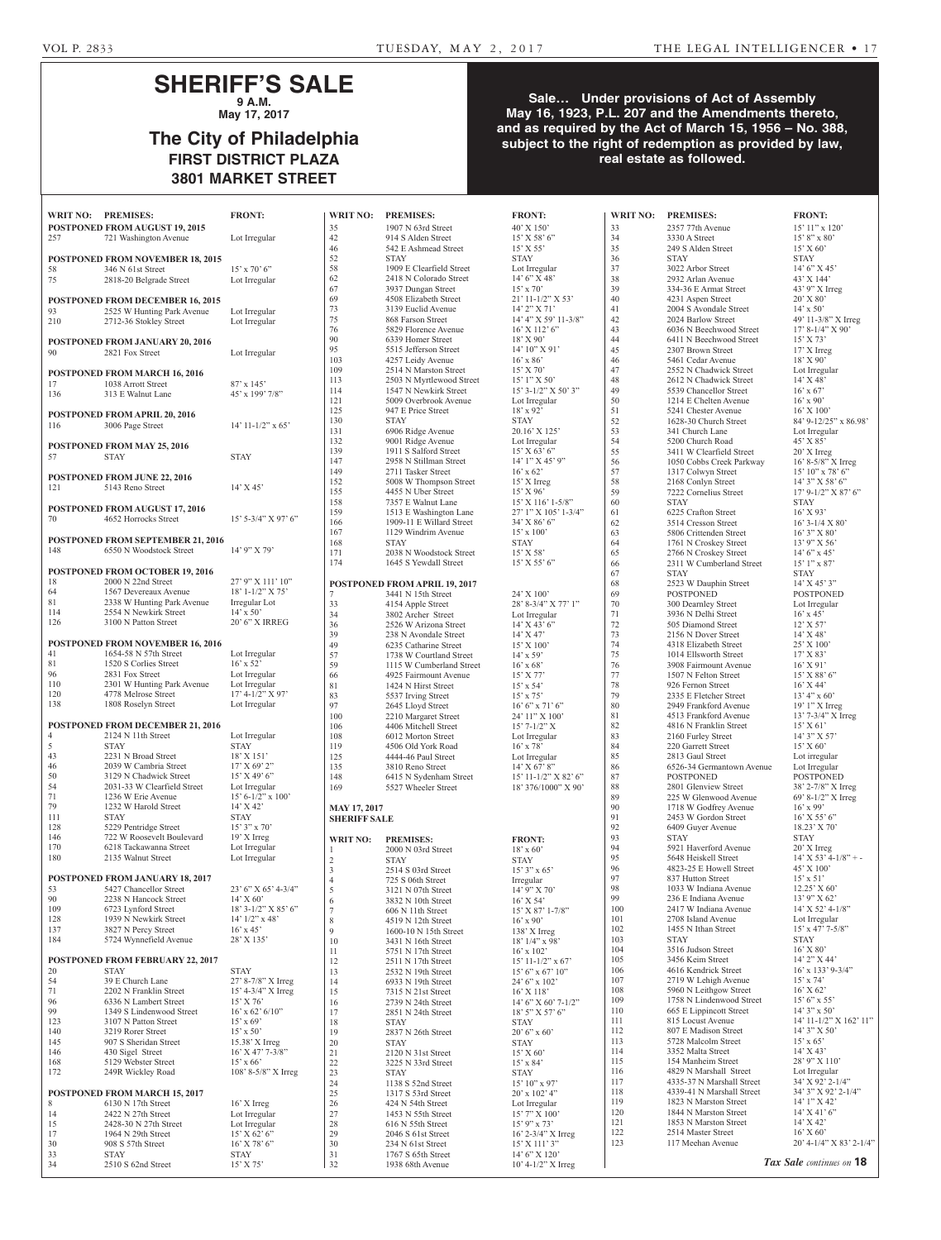## **SHERIFF'S SALE 9 A.M.**

**May 17, 2017**

# **The City of Philadelphia FIRST DISTRICT PLAZA 3801 MARKET STREET**

| <b>WRIT NO:</b> | <b>PREMISES:</b>                                                    | <b>FRONT:</b>                           |
|-----------------|---------------------------------------------------------------------|-----------------------------------------|
|                 | POSTPONED FROM AUGUST 19, 2015                                      |                                         |
| 257             | 721 Washington Avenue                                               | Lot Irregular                           |
|                 | POSTPONED FROM NOVEMBER 18, 2015                                    |                                         |
| 58              | 346 N 61st Street                                                   | $15'$ x 70' 6"                          |
| 75              | 2818-20 Belgrade Street                                             | Lot Irregular                           |
|                 | <b>POSTPONED FROM DECEMBER 16, 2015</b>                             |                                         |
| 93<br>210       | 2525 W Hunting Park Avenue<br>2712-36 Stokley Street                | Lot Irregular<br>Lot Irregular          |
|                 |                                                                     |                                         |
|                 | POSTPONED FROM JANUARY 20, 2016                                     |                                         |
| 90              | 2821 Fox Street                                                     | Lot Irregular                           |
|                 | POSTPONED FROM MARCH 16, 2016                                       |                                         |
| 17<br>136       | 1038 Arrott Street<br>313 E Walnut Lane                             | $87' \times 145'$<br>45' x 199' 7/8"    |
|                 |                                                                     |                                         |
|                 | POSTPONED FROM APRIL 20, 2016                                       |                                         |
| 116             | 3006 Page Street                                                    | $14'$ 11-1/2" x 65'                     |
|                 | <b>POSTPONED FROM MAY 25, 2016</b>                                  |                                         |
| 57              | <b>STAY</b>                                                         | <b>STAY</b>                             |
|                 | <b>POSTPONED FROM JUNE 22, 2016</b>                                 |                                         |
| 121             | 5143 Reno Street                                                    | $14'$ X 45'                             |
|                 | POSTPONED FROM AUGUST 17, 2016                                      |                                         |
| 70              | 4652 Horrocks Street                                                | 15' 5-3/4" X 97' 6"                     |
|                 |                                                                     |                                         |
| 148             | <b>POSTPONED FROM SEPTEMBER 21, 2016</b><br>6550 N Woodstock Street | 14' 9" X 79'                            |
|                 |                                                                     |                                         |
| 18              | <b>POSTPONED FROM OCTOBER 19, 2016</b><br>2000 N 22nd Street        | 27' 9" X 111' 10"                       |
| 64              | 1567 Devereaux Avenue                                               | 18' 1-1/2" X 75'                        |
| 81              | 2338 W Hunting Park Avenue<br>2554 N Newkirk Street                 | Irregular Lot<br>$14' \times 50'$       |
| 114<br>126      | 3100 N Patton Street                                                | 20' 6" X IRREG                          |
|                 |                                                                     |                                         |
| 41              | POSTPONED FROM NOVEMBER 16, 2016<br>1654-58 N 57th Street           | Lot Irregular                           |
| 81              | 1520 S Corlies Street                                               | $16'$ x 52'                             |
| 96<br>110       | 2831 Fox Street<br>2301 W Hunting Park Avenue                       | Lot Irregular<br>Lot Irregular          |
| 120             | 4778 Melrose Street                                                 | $17' 4 - 1/2''$ X 97'                   |
| 138             | 1808 Roselyn Street                                                 | Lot Irregular                           |
|                 | POSTPONED FROM DECEMBER 21, 2016                                    |                                         |
| 4               | 2124 N 11th Street                                                  | Lot Irregular                           |
| 5<br>43         | <b>STAY</b><br>2231 N Broad Street                                  | <b>STAY</b><br>18' X 151'               |
| 46              | 2039 W Cambria Street                                               | 17' X 69' 2"                            |
| 50              | 3129 N Chadwick Street                                              | 15' X 49' 6"                            |
| 54<br>71        | 2031-33 W Clearfield Street<br>1236 W Erie Avenue                   | Lot Irregular<br>$15' 6 - 1/2''$ x 100' |
| 79              | 1232 W Harold Street                                                | 14' X 42'                               |
| 111<br>128      | <b>STAY</b><br>5229 Pentridge Street                                | <b>STAY</b><br>15' 3" x 70'             |
| 146             | 722 W Roosevelt Boulevard                                           | 19' X Irreg                             |
| 170<br>180      | 6218 Tackawanna Street<br>2135 Walnut Street                        | Lot Irregular<br>Lot Irregular          |
|                 |                                                                     |                                         |
|                 | POSTPONED FROM JANUARY 18, 2017                                     |                                         |
| 53<br>90        | 5427 Chancellor Street<br>2238 N Hancock Street                     | 23' 6" X 65' 4-3/4"<br>14' X 60'        |
| 109             | 6723 Lynford Street                                                 | 18' 3-1/2" X 85' 6"                     |
| 128<br>137      | 1939 N Newkirk Street<br>3827 N Percy Street                        | $14'$ $1/2''$ x $48'$<br>$16'$ x 45'    |
| 184             | 5724 Wynnefield Avenue                                              | 28' X 135'                              |
|                 |                                                                     |                                         |
| 20              | POSTPONED FROM FEBRUARY 22, 2017<br><b>STAY</b>                     | <b>STAY</b>                             |
| 54              | 39 E Church Lane                                                    | 27' 8-7/8" X Irreg                      |
| 71<br>96        | 2202 N Franklin Street<br>6336 N Lambert Street                     | 15' 4-3/4" X Irreg<br>15' X 76'         |
| 99              | 1349 S Lindenwood Street                                            | $16'$ x 62' $6/10"$                     |
| 123             | 3107 N Patton Street<br>3219 Rorer Street                           | $15'$ x 69'                             |
| 140<br>145      | 907 S Sheridan Street                                               | $15'$ x 50'<br>15.38' X Irreg           |
| 146             | 430 Sigel Street                                                    | 16' X 47' 7-3/8"                        |
| 168<br>172      | 5129 Webster Street<br>249R Wickley Road                            | $15'$ x 66'<br>108' 8-5/8" X Irreg      |
|                 |                                                                     |                                         |
| 8               | POSTPONED FROM MARCH 15, 2017<br>6130 N 17th Street                 |                                         |
| 14              | 2422 N 27th Street                                                  | 16' X Irreg<br>Lot Irregular            |
| 15              | 2428-30 N 27th Street                                               | Lot Irregular                           |
| 17<br>30        | 1964 N 29th Street<br>908 S 57th Street                             | 15' X 62' 6''<br>16' X 78' 6"           |
| 33              | <b>STAY</b>                                                         | <b>STAY</b>                             |
| 34              | 2510 S 62nd Street                                                  | 15' X 75'                               |

### 35 1907 N 63rd Street 40'<br>42 914 S Alden Street 15 42 914 S Alden Street 15<br>46 542 E Ashmead Street 15' 46 542 E Ashmead Street<br>52 STAY 52 STAY STAY 58 1909 E Clearfield Street Lot Lot 2418 N Colorado Street 14' 2418 N Colorado Street 14'<br>3937 Dungan Street 15' 67 3937 Dungan Street 15'<br>69 4508 Elizabeth Street 21' 69 4508 Elizabeth Street<br>
3139 Euclid Avenue 73 3139 Euclid Avenue 14'<br>75 868 Farson Street 14' 868 Farson Street 76 5829 Florence Avenue 16' 90 6339 Homer Street 18' 95 5515 Jefferson Street 14' 103 4257 Leidy Avenue 16<sup>'</sup> 109 2514 N Marston Street 15<br>113 2503 N Myrtlewood Street 15'  $2503$  N Myrtlewood Street 15<sup>'</sup> 114 1547 N Newkirk Street 15<sup>5</sup> 121 5009 Overbrook Avenue Lot 125 947 E Price Street 18'<br>130 STAY ST 130 STAY STAW STAN<br>131 6906 Ridge Avenue 20. 131 6906 Ridge Avenue 20.<br>132 9001 Ridge Avenue Lot 132 9001 Ridge Avenue Lot<br>139 1911 S Salford Street 15 139 1911 S Salford Street 15<br>147 2958 N Stillman Street 14 147 2958 N Stillman Street<br>149 2711 Tasker Street 149 2711 Tasker Street 16'<br>152 5008 W Thompson Street 15' 152 5008 W Thompson Street 15'<br>155 4455 N Uber Street 15' 155 4455 N Uber Street 15'<br>158 7357 E Walnut Lane 15' 158 7357 E Walnut Lane 15'<br>159 1513 E Washington Lane 27' 1513 E Washington Lane 166 1909-11 E Willard Street 34'  $167$  1129 Windrim Avenue 15' 168 STAY STAY 171 2038 N Woodstock Street 15' 174 1645 S Yewdall Street 15<sup>'</sup> **POSTPONED FROM APRIL 19, 2017**  3441 N 15th Street 24' 33 4154 Apple Street 28'<br>34 3802 Archer Street Lot 3802 Archer Street Lot 36 2526 W Arizona Street 14'<br>39 238 N Avondale Street 14' 238 N Avondale Street 14<sup>'</sup> 49 6235 Catharine Street 15<sup>'</sup> 57 1738 W Courtland Street 14<sup>3</sup><br>59 1115 W Cumberland Street 16<sup>2</sup> 59 1115 W Cumberland Street 16<br>66 4925 Fairmount Avenue 15' 4925 Fairmount Avenue 15'<br>1424 N Hirst Street 15' 81 1424 N Hirst Street 15'<br>83 5537 Irving Street 15' 83 5537 Irving Street 15<br>97 2645 Lloyd Street 16' 97 2645 Lloyd Street 16'<br>100 2210 Margaret Street 24' 100 2210 Margaret Street 24'<br>106 4406 Mitchell Street 15' 106 4406 Mitchell Street<br>108 6012 Morton Street 108 6012 Morton Street Lot<br>119 4506 Old York Road 16' 4506 Old York Road 16' 125 4444-46 Paul Street Lot 135 3810 Reno Street 14' 148 6415 N Sydenham Street 15' 169 5527 Wheeler Street 18' **MAY 17, 2017 SHERIFF SALE WRIT NO: PREMISES: FROM** 2000 N 03rd Street 18' 2 STAY STAW 3 2514 S 03rd Street 15' 4 725 S 06th Street Irre 5 3121 N 07th Street 14' 6 3832 N 10th Street 16' 7 606 N 11th Street 15' 8 4519 N 12th Street 16' 9 1600-10 N 15th Street 138 10 3431 N 16th Street 18'<br>11 5751 N 17th Street 16' 16' 5751 N 17th Street 16'<br>2511 N 17th Street 15' 12 2511 N 17th Street 15'<br>13 2532 N 19th Street 15' 2532 N 19th Street 15'<br>6933 N 19th Street 24' 14 6933 N 19th Street 24<br>15 7315 N 21st Street 16 15 7315 N 21st Street<br>16 2739 N 24th Street 16 2739 N 24th Street 14'<br>17 2851 N 24th Street 18' 2851 N 24th Street 18 STAY STAY 19  $2837 \text{ N}$  26th Street 20 STAY 20 STAY STAY 21 2120 N 31st Street 15' 22 3225 N 33rd Street 15' 23 STAY STAY 24 1138 S 52nd Street 15'<br>25 1317 S 53rd Street 20' 1317 S 53rd Street **WRIT NO: PREMISES: FRONT: WRIT NO: PREMISES: FRONT: WRIT NO: PREMISES: FRONT:**

1938 68th Avenue

26 424 N 54th Street Lot Lot 27 1453 N 55th Street 15 27 1453 N 55th Street 15<br>
28 616 N 55th Street 15' 28 616 N 55th Street 15<br>
29 2046 S 61st Street 16' 29 2046 S 61st Street 16'<br>30 234 N 61st Street 15' 234 N 61st Street 15' X 111' 3"<br>1767 S 65th Street 14' 6" X 120" 31 1767 S 65th Street 14' 6" X 120'<br>32 1938 68th Avenue 10' 4-1/2" X Irreg

| ONT:                                                               | V                                       |
|--------------------------------------------------------------------|-----------------------------------------|
| X 150'<br>X 58' 6"                                                 | $\overline{3}$                          |
| X 55'                                                              | 3.<br>$\overline{3}$                    |
| ΛY                                                                 | 31                                      |
| Irregular<br>$6''\,\tilde{X}$ 48'                                  | $\mathbf{3}^{\prime}$<br>$\overline{3}$ |
| x 70'                                                              | 3'                                      |
| 11-1/2" X 53'<br>2" X 71'                                          | 4<br>4                                  |
| 4" X 59' 11-3/8"<br>X 112' 6"                                      | 4.                                      |
|                                                                    | 4<br>4                                  |
| X 90'<br>10" X 91'<br>x 86'                                        | $\overline{4}$                          |
|                                                                    | $\overline{4}$<br>$\overline{4}$        |
| X 80<br>X 70'<br>1" X 50'<br>3-1/2" X 50' 3"<br>Irregular<br>x 92' | $\overline{4}$                          |
|                                                                    | 4<br>51                                 |
|                                                                    | 5                                       |
| łΥ<br>16' X 125'                                                   | 5.<br>5.                                |
|                                                                    | 5.                                      |
| Irregular<br>X 63' 6"<br>1" X 45' 9"                               | 5.<br>5                                 |
| x 62                                                               | 5                                       |
| X Irreg                                                            | 5.<br>5'                                |
| X 96'<br>X 116' 1-5/8''<br>1'' X 105' 1-3/4''                      | 61                                      |
| X 86' 6"                                                           | 6<br>6.                                 |
| x 100'                                                             | 6.                                      |
| ١Y<br>X 58'                                                        | 6.                                      |
| X 55' 6"                                                           | 6.<br>61                                |
|                                                                    | 6                                       |
| X 100'                                                             | 6<br>6                                  |
| 8-3/4" X 77' 1"                                                    | 71                                      |
| Irregular<br>$X$ 43' 6"                                            | 7<br>7.                                 |
| X 47'                                                              | 7.                                      |
| $X$ 100 $'$<br>x 59'                                               | 7.<br>7:                                |
| x 68'                                                              | 7                                       |
| X 77'<br>x 54'                                                     | $\overline{7}$<br>7:                    |
| x 75                                                               | 7 <sup>1</sup>                          |
| $6"$ x 71' $6"$                                                    | 8<br>8                                  |
| $11''$ X $100'$<br>7-1/2" X                                        | 8.                                      |
| Irregular<br>$x\ 78$                                               | 8.<br>8.                                |
| Irregular                                                          | 8.                                      |
| $X\,67'\,8"$<br>$11-1/2$ " X 82' 6"                                | 8<br>8                                  |
| 376/1000" X 90'                                                    | 8                                       |
|                                                                    | 8'<br>91                                |
|                                                                    | 9                                       |
|                                                                    | 9<br>$\overline{9}$                     |
| ONT:<br>x 60'                                                      | g,                                      |
| ١Y<br>$3" \times 65"$                                              | $\overline{9}$<br>91                    |
| gular                                                              | 9                                       |
| 9" X 70'<br>X 54'                                                  | 9.<br>9'                                |
| X 87' 1-7/8"                                                       | 1                                       |
| x 90'                                                              | 1<br>1                                  |
| ' X Irreg<br>$1/4$ " x 98'                                         | $\mathbf{1}$                            |
| x 102                                                              | 1                                       |
| $11 - 1/2$ " x 67'<br>$6"$ x 67' 10"                               | 1<br>1                                  |
| 6" x 102'                                                          | 1                                       |
| $X$ 118 <sup><math>\overline{)}</math></sup><br>6" X 60' 7-1/2"    | $\mathbf{1}$<br>1                       |
| 5" X 57' 6"                                                        | $\mathbf{1}$                            |
| ١Y<br>$6"$ x $60"$                                                 | $\mathbf{1}$<br>$\mathbf{1}$            |
| ΛY                                                                 | $\mathbf{1}$                            |
| $X$ 60 $^{\circ}$<br>x 84'                                         | $\mathbf{1}$<br>1                       |
| ١Y                                                                 | $\mathbf{1}$                            |
| $10"$ x 97'<br>x 102' 4"                                           | 1<br>1                                  |
|                                                                    | 1                                       |
| Irregular<br>7" X 100'                                             | Ľ<br>$\mathbf{1}$                       |
| 9" x 73'<br>2-3/4" X Irreg                                         | $\overline{1}$                          |
| X 111' 3"                                                          | $\overline{1}$                          |

2357 77th Avenue 15' 11" x 120'<br>3330 A Street 15' 8" x 80' 3330 A Street 15' 8" x 8<br>249 S Alden Street 15' X 60' 249 S Alden Street 15' X 6<br>STAY STAY  $\begin{array}{lll} \text{STAT} & \text{STAT} \\ \text{3022 Arbor Street} & 14\text{'} 6\text{'' X 45'} \end{array}$ 3022 Arbor Street 14' 6" X 45<br>2932 Arlan Avenue 43' X 144' 2932 Arlan Avenue 43' X 144'<br>334-36 E Armat Street 43' 9" X Irreg 334-36 E Armat Street 43' 9" X I<br>4231 Aspen Street 20' X 80' 4231 Aspen Street 20' X 80'<br>2004 S Avondale Street 14' x 50' 2004 S Avondale Street 14' x 50'<br>2024 Barlow Street 49' 11-3/8" X Irreg 2024 Barlow Street 43 6036 N Beechwood Street 17' 8-1/4" X 90' 6411 N Beechwood Street 15' X 73' 2307 Brown Street 17' X Irreg 46 5461 Cedar Avenue 18' X 90' 47 2552 N Chadwick Street Lot Irregular 2612 N Chadwick Street 14' X 48' 5539 Chancellor Street 16' x 67' 1214 E Chelten Avenue 16' x 90'<br>5241 Chester Avenue 16' X 100' 5241 Chester Avenue 16' X 100'<br>1628-30 Church Street 84' 9-12/25" x 86.98' 1628-30 Church Street 84' 9-12/25"<br>341 Church Lane Lot Irregular 341 Church Lane Lot Irregular 25200 Church Road 45' X 85' 5200 Church Road<br>
3411 W Clearfield Street<br>
20' X Irreg 3411 W Clearfield Street 20' X Irreg<br>1050 Cobbs Creek Parkway 16' 8-5/8" X Irreg 1650 Cobbs Creek Parkway 16' 8-5/8" X Irre<br>1317 Colwyn Street 15' 10" x 78' 6" 1317 Colwyn Street 15' 10" x 78' 6"<br>2168 Conlyn Street 14' 3" X 58' 6" 2168 Conlyn Street 14' 3" X 58' 6"<br>
7222 Cornelius Street 17' 9-1/2" X 87' 6" 7222 Cornelius Street<br>STAY 6225 Crafton Street 16' X 93'<br>3514 Cresson Street 16' 3-1/4 X 80' 82 3514 Cresson Street 16' 3-1/4 X<br>5806 Crittenden Street 16' 3" X 80" 5806 Crittenden Street 16' 3" X 80'<br>1761 N Croskev Street 13' 9" X 56' 1761 N Croskey Street 2766 N Croskey Street 14' 6" x 45'<br>2311 W Cumberland Street 15' 1" x 87' 2311 W Cumberland Street 67 STAY STAY 2523 W Dauphin Street 14' X 45' 3"<br>
POSTPONED POSTPONED POSTPONED<br>300 Dearnley Street Lot Irregular 300 Dearnley Street 3936 N Delhi Street  $16' \times 45'$ <br>505 Diamond Street  $12' \times 57'$ 12' X 57'<br>2156 N Dover Street 14' X 48' 2156 N Dover Street 14' X 48'<br>4318 Elizabeth Street 25' X 100' 1318 Elizabeth Street 25' X 100<br>1014 Elisworth Street 17' X 83' 1014 Ellsworth Street 17' X 83'<br>3908 Fairmount Avenue 16' X 91' 3908 Fairmount Avenue 16' X 91'<br>1507 N Felton Street 15' X 88' 6" 1507 N Felton Street 15' X 88'<br>926 Fernon Street 16' X 44' 926 Fernon Street 16' X 44'<br>2335 E Fletcher Street 13' 4" x 60' 2335 E Fletcher Street 13' 4" x 60'<br>2949 Frankford Avenue 19' 1" X Irreg 2949 Frankford Avenue 19' 1" X Irreg<br>4513 Frankford Avenue 13' 7-3/4" X Irreg 4513 Frankford Avenue  $13'$  7-3/4"<br>4816 N Franklin Street  $15'$  X 61" 82 4816 N Franklin Street 15' X 61'<br>
2160 Furley Street 14' 3" X 57" 2160 Furley Street 220 Garrett Street 15' X 60' 2813 Gaul Street Lot irregular 86 6526-34 Germantown Avenue Lot Irregular POSTPONED POSTPONED 2801 Glenview Street 38' 2-7/8" X Irreg<br>225 W Glenwood Avenue 69' 8-1/2" X Irreg 225 W Glenwood Avenue  $69' 8-1/2$ <br>1718 W Godfrey Avenue  $16' \times 99'$ 1718 W Godfrey Avenue  $16'$  x 99'<br>2453 W Gordon Street  $16'$  X 55' 6" 2453 W Gordon Street 92 6409 Guyer Avenue 18.23' X 70' 93 STAY STAY 9921 Haverford Avenue  $20'$  X Irreg<br>
5648 Heiskell Street  $14'$  X 53' 4-1/8" + -5648 Heiskell Street 14' X 53' 4<br>4823-25 E Howell Street 45' X 100' 4823-25 E Howell Street 45' X 100<br>837 Hutton Street 15' x 51' 837 Hutton Street  $15' \times 51'$ <br>1033 W Indiana Avenue  $12.25' \times 60'$ 1033 W Indiana Avenue 12.25' X 60'<br>236 E Indiana Avenue 13' 9" X 62' 9 236 E Indiana Avenue 13' 9" X 62'<br>00 2417 W Indiana Avenue 14' X 52' 4-1/8" 100 2417 W Indiana Avenue 14' X 52' 4-1<br>101 2708 Island Avenue Lot Irregular 01 2708 Island Avenue Lot Irregular<br>02 1455 N Ithan Street 15' x 47' 7-5/8" 02 1455 N Ithan Street 15' x 4<br>
03 STAY 5TAY STAY<br>3516 Judson Street 16' X 80' 104 3516 Judson Street 105 3456 Keim Street 14' 2" X 44' 06 4616 Kendrick Street 16' x 133' 9-3/4" 107 2719 W Lehigh Avenue 15' x 74' 08 5960 N Leithgow Street  $16'$  X 62'<br>09 1758 N Lindenwood Street  $15'$  6" x 55' 09 1758 N Lindenwood Street 15' 6" x 55'<br>10 665 E Lippincott Street 14' 3" x 50' 10 665 E Lippincott Street<br>11 815 Locust Avenue 11 815 Locust Avenue 14' 11-1/2" X 162' 11' 12 807 E Madison Street 14' 3" X 50'<br>13 5728 Malcolm Street 15' x 65' 15' x 65'<br>3352 Malta Street 14' X 43' 14 3352 Malta Street 14' X 43'<br>15 154 Manheim Street 28' 9" X 110' 154 Manheim Street 28' 9" X 110'<br>4829 N Marshall Street Lot Irregular 16 4829 N Marshall Street Lot Irregular<br>17 4335-37 N Marshall Street 34' X 92' 2-1/4" 4335-37 N Marshall Street 34' X 92' 2-1/4"<br>4339-41 N Marshall Street 34' 3" X 92' 2-1/4" 118 4339-41 N Marshall Street 34' 3" X 92'<br>19 1823 N Marston Street 14' 1" X 42' 19 1823 N Marston Street 14' 1" X 42'<br>20 1844 N Marston Street 14' X 41' 6" 120 1844 N Marston Street 14' X 41'<br>
121 1853 N Marston Street 14' X 42' 121 1853 N Marston Street 14' X 42'<br>22 2514 Master Street 16' X 60' 122 2514 Master Street<br>
23 117 Meehan Avenue

STAY<br>16' X 93' 20' 4-1/4" X 83' 2-1/4" *Tax Sale continues on* **18**

**Sale… Under provisions of Act of Assembly May 16, 1923, P.L. 207 and the Amendments thereto, and as required by the Act of March 15, 1956 – No. 388, subject to the right of redemption as provided by law, real estate as followed.**